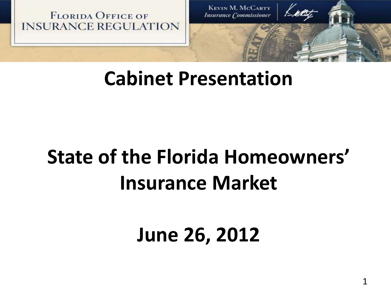**FLORIDA OFFICE OF INSURANCE REGULATION** 

**KEVIN M. MCCARTY Insurance Commissioner** 

## **Cabinet Presentation**

# **State of the Florida Homeowners' Insurance Market**

## **June 26, 2012**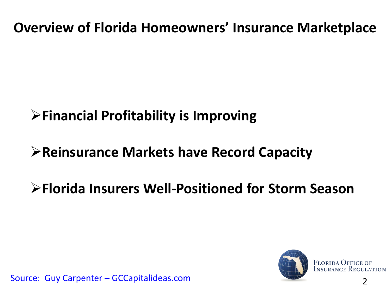**Overview of Florida Homeowners' Insurance Marketplace**

#### **Financial Profitability is Improving**

#### **Reinsurance Markets have Record Capacity**

#### **Florida Insurers Well-Positioned for Storm Season**



2 Source: Guy Carpenter – GCCapitalideas.com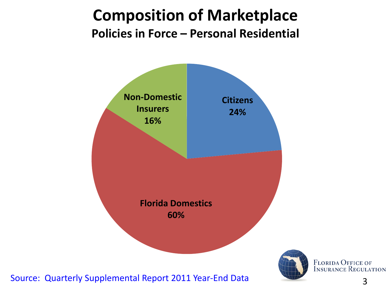#### **Composition of Marketplace Policies in Force – Personal Residential**



Source: Quarterly Supplemental Report 2011 Year-End Data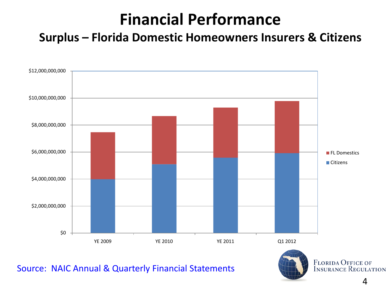### **Financial Performance**

**Surplus – Florida Domestic Homeowners Insurers & Citizens**



Source: NAIC Annual & Quarterly Financial Statements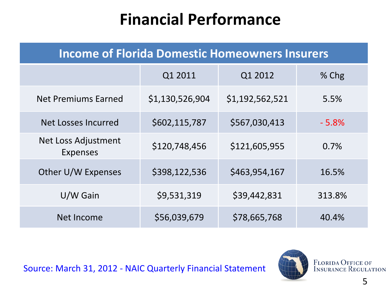### **Financial Performance**

| <b>Income of Florida Domestic Homeowners Insurers</b> |                 |                 |         |
|-------------------------------------------------------|-----------------|-----------------|---------|
|                                                       | Q1 2011         | Q1 2012         | % Chg   |
| <b>Net Premiums Earned</b>                            | \$1,130,526,904 | \$1,192,562,521 | 5.5%    |
| Net Losses Incurred                                   | \$602,115,787   | \$567,030,413   | $-5.8%$ |
| <b>Net Loss Adjustment</b><br><b>Expenses</b>         | \$120,748,456   | \$121,605,955   | 0.7%    |
| Other U/W Expenses                                    | \$398,122,536   | \$463,954,167   | 16.5%   |
| U/W Gain                                              | \$9,531,319     | \$39,442,831    | 313.8%  |
| Net Income                                            | \$56,039,679    | \$78,665,768    | 40.4%   |

Source: March 31, 2012 - NAIC Quarterly Financial Statement

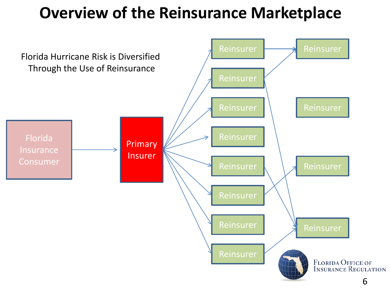#### **Overview of the Reinsurance Marketplace**

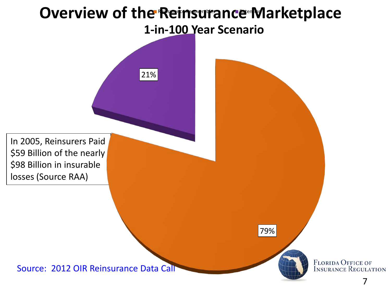#### **1-in-100 Year Scenario Overview of the Reinsurance Marketplace** Reisont Metricien Material

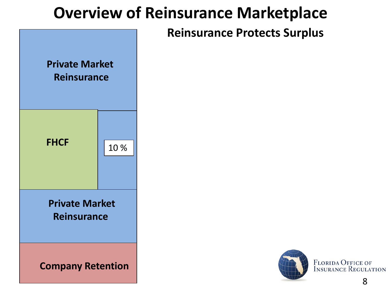#### **Overview of Reinsurance Marketplace**

#### **Reinsurance Protects Surplus**





**FLORIDA OFFICE OF INSURANCE REGULATION**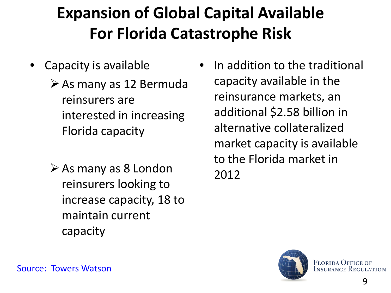## **Expansion of Global Capital Available For Florida Catastrophe Risk**

- Capacity is available
	- $\triangleright$  As many as 12 Bermuda reinsurers are interested in increasing Florida capacity
	- $\triangleright$  As many as 8 London reinsurers looking to increase capacity, 18 to maintain current capacity
- In addition to the traditional capacity available in the reinsurance markets, an additional \$2.58 billion in alternative collateralized market capacity is available to the Florida market in 2012



Source: Towers Watson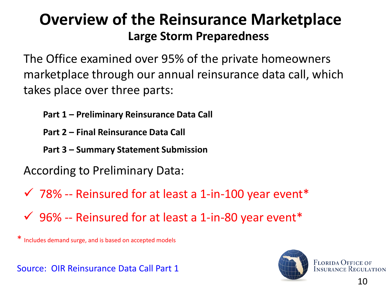#### **Large Storm Preparedness Overview of the Reinsurance Marketplace**

The Office examined over 95% of the private homeowners marketplace through our annual reinsurance data call, which takes place over three parts:

- **Part 1 – Preliminary Reinsurance Data Call**
- **Part 2 – Final Reinsurance Data Call**
- **Part 3 – Summary Statement Submission**
- According to Preliminary Data:
- $\checkmark$  78% -- Reinsured for at least a 1-in-100 year event\*
- $\checkmark$  96% -- Reinsured for at least a 1-in-80 year event\*

\* Includes demand surge, and is based on accepted models